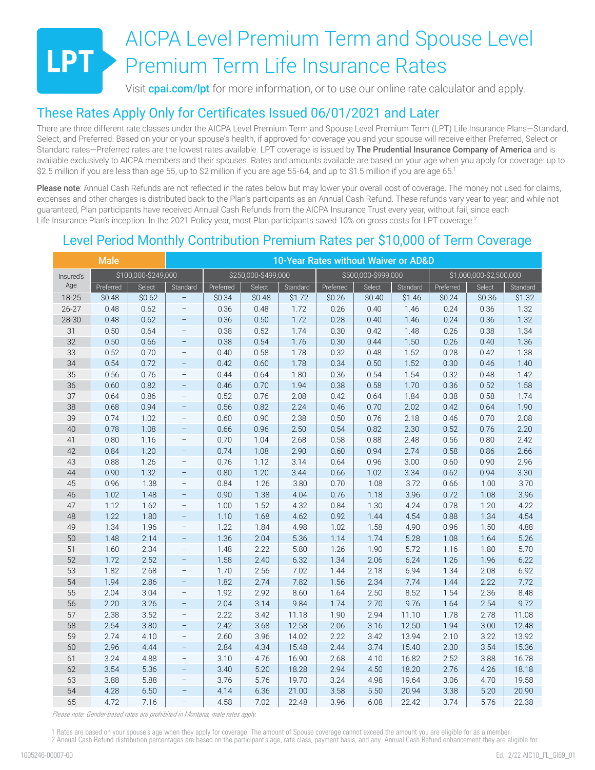# AICPA Level Premium Term and Spouse Level Premium Term Life Insurance Rates

Visit **[cpai.com/lpt](http://cpai.com/lpt)** for more information, or to use our online rate calculator and apply.

## These Rates Apply Only for Certificates Issued 06/01/2021 and Later

There are three different rate classes under the AICPA Level Premium Term and Spouse Level Premium Term (LPT) Life Insurance Plans—Standard, Select, and Preferred. Based on your or your spouse's health, if approved for coverage you and your spouse will receive either Preferred, Select or Standard rates-Preferred rates are the lowest rates available. LPT coverage is issued by The Prudential Insurance Company of America and is available exclusively to AICPA members and their spouses. Rates and amounts available are based on your age when you apply for coverage: up to \$2.5 million if you are less than age 55, up to \$2 million if you are age 55-64, and up to \$1.5 million if you are age 65.1

Please note: Annual Cash Refunds are not reflected in the rates below but may lower your overall cost of coverage. The money not used for claims, expenses and other charges is distributed back to the Plan's participants as an Annual Cash Refund. These refunds vary year to year, and while not guaranteed, Plan participants have received Annual Cash Refunds from the AICPA Insurance Trust every year, without fail, since each Life Insurance Plan's inception. In the 2021 Policy year, most Plan participants saved 10% on gross costs for LPT coverage.<sup>2</sup>

# Level Period Monthly Contribution Premium Rates per \$10,000 of Term Coverage

| <b>Male</b> |           |                     | 10-Year Rates without Waiver or AD&D |           |                     |          |           |                     |          |           |                         |          |  |
|-------------|-----------|---------------------|--------------------------------------|-----------|---------------------|----------|-----------|---------------------|----------|-----------|-------------------------|----------|--|
| Insured's   |           | \$100,000-\$249,000 |                                      |           | \$250,000-\$499,000 |          |           | \$500,000-\$999,000 |          |           | \$1,000,000-\$2,500,000 |          |  |
| Age         | Preferred | Select              | Standard                             | Preferred | Select              | Standard | Preferred | Select              | Standard | Preferred | Select                  | Standard |  |
| 18-25       | \$0.48    | \$0.62              | $\overline{\phantom{0}}$             | \$0.34    | \$0.48              | \$1.72   | \$0.26    | \$0.40              | \$1.46   | \$0.24    | \$0.36                  | \$1.32   |  |
| $26 - 27$   | 0.48      | 0.62                | $\overline{\phantom{0}}$             | 0.36      | 0.48                | 1.72     | 0.26      | 0.40                | 1.46     | 0.24      | 0.36                    | 1.32     |  |
| 28-30       | 0.48      | 0.62                | $\qquad \qquad -$                    | 0.36      | 0.50                | 1.72     | 0.28      | 0.40                | 1.46     | 0.24      | 0.36                    | 1.32     |  |
| 31          | 0.50      | 0.64                | $\overline{\phantom{0}}$             | 0.38      | 0.52                | 1.74     | 0.30      | 0.42                | 1.48     | 0.26      | 0.38                    | 1.34     |  |
| 32          | 0.50      | 0.66                | $\qquad \qquad -$                    | 0.38      | 0.54                | 1.76     | 0.30      | 0.44                | 1.50     | 0.26      | 0.40                    | 1.36     |  |
| 33          | 0.52      | 0.70                | $\overline{\phantom{0}}$             | 0.40      | 0.58                | 1.78     | 0.32      | 0.48                | 1.52     | 0.28      | 0.42                    | 1.38     |  |
| 34          | 0.54      | 0.72                | $\qquad \qquad -$                    | 0.42      | 0.60                | 1.78     | 0.34      | 0.50                | 1.52     | 0.30      | 0.46                    | 1.40     |  |
| 35          | 0.56      | 0.76                | $\overline{\phantom{0}}$             | 0.44      | 0.64                | 1.80     | 0.36      | 0.54                | 1.54     | 0.32      | 0.48                    | 1.42     |  |
| 36          | 0.60      | 0.82                | $\qquad \qquad -$                    | 0.46      | 0.70                | 1.94     | 0.38      | 0.58                | 1.70     | 0.36      | 0.52                    | 1.58     |  |
| 37          | 0.64      | 0.86                | $\overline{\phantom{0}}$             | 0.52      | 0.76                | 2.08     | 0.42      | 0.64                | 1.84     | 0.38      | 0.58                    | 1.74     |  |
| 38          | 0.68      | 0.94                | $\qquad \qquad -$                    | 0.56      | 0.82                | 2.24     | 0.46      | 0.70                | 2.02     | 0.42      | 0.64                    | 1.90     |  |
| 39          | 0.74      | 1.02                | $\qquad \qquad -$                    | 0.60      | 0.90                | 2.38     | 0.50      | 0.76                | 2.18     | 0.46      | 0.70                    | 2.08     |  |
| 40          | 0.78      | 1.08                | $\qquad \qquad -$                    | 0.66      | 0.96                | 2.50     | 0.54      | 0.82                | 2.30     | 0.52      | 0.76                    | 2.20     |  |
| 41          | 0.80      | 1.16                | $\overline{\phantom{0}}$             | 0.70      | 1.04                | 2.68     | 0.58      | 0.88                | 2.48     | 0.56      | 0.80                    | 2.42     |  |
| 42          | 0.84      | 1.20                | $\qquad \qquad -$                    | 0.74      | 1.08                | 2.90     | 0.60      | 0.94                | 2.74     | 0.58      | 0.86                    | 2.66     |  |
| 43          | 0.88      | 1.26                | $\overline{\phantom{0}}$             | 0.76      | 1.12                | 3.14     | 0.64      | 0.96                | 3.00     | 0.60      | 0.90                    | 2.96     |  |
| 44          | 0.90      | 1.32                | $\overline{\phantom{0}}$             | 0.80      | 1.20                | 3.44     | 0.66      | 1.02                | 3.34     | 0.62      | 0.94                    | 3.30     |  |
| 45          | 0.96      | 1.38                | $\qquad \qquad -$                    | 0.84      | 1.26                | 3.80     | 0.70      | 1.08                | 3.72     | 0.66      | 1.00                    | 3.70     |  |
| 46          | 1.02      | 1.48                | $\overline{\phantom{0}}$             | 0.90      | 1.38                | 4.04     | 0.76      | 1.18                | 3.96     | 0.72      | 1.08                    | 3.96     |  |
| 47          | 1.12      | 1.62                | $\overline{\phantom{0}}$             | 1.00      | 1.52                | 4.32     | 0.84      | 1.30                | 4.24     | 0.78      | 1.20                    | 4.22     |  |
| 48          | 1.22      | 1.80                | $\overline{\phantom{0}}$             | 1.10      | 1.68                | 4.62     | 0.92      | 1.44                | 4.54     | 0.88      | 1.34                    | 4.54     |  |
| 49          | 1.34      | 1.96                | $\qquad \qquad -$                    | 1.22      | 1.84                | 4.98     | 1.02      | 1.58                | 4.90     | 0.96      | 1.50                    | 4.88     |  |
| 50          | 1.48      | 2.14                | $\qquad \qquad -$                    | 1.36      | 2.04                | 5.36     | 1.14      | 1.74                | 5.28     | 1.08      | 1.64                    | 5.26     |  |
| 51          | 1.60      | 2.34                | $\overline{\phantom{0}}$             | 1.48      | 2.22                | 5.80     | 1.26      | 1.90                | 5.72     | 1.16      | 1.80                    | 5.70     |  |
| 52          | 1.72      | 2.52                | $\qquad \qquad -$                    | 1.58      | 2.40                | 6.32     | 1.34      | 2.06                | 6.24     | 1.26      | 1.96                    | 6.22     |  |
| 53          | 1.82      | 2.68                | $\qquad \qquad -$                    | 1.70      | 2.56                | 7.02     | 1.44      | 2.18                | 6.94     | 1.34      | 2.08                    | 6.92     |  |
| 54          | 1.94      | 2.86                | $\overline{\phantom{0}}$             | 1.82      | 2.74                | 7.82     | 1.56      | 2.34                | 7.74     | 1.44      | 2.22                    | 7.72     |  |
| 55          | 2.04      | 3.04                | $\qquad \qquad -$                    | 1.92      | 2.92                | 8.60     | 1.64      | 2.50                | 8.52     | 1.54      | 2.36                    | 8.48     |  |
| 56          | 2.20      | 3.26                | $\qquad \qquad -$                    | 2.04      | 3.14                | 9.84     | 1.74      | 2.70                | 9.76     | 1.64      | 2.54                    | 9.72     |  |
| 57          | 2.38      | 3.52                | $\qquad \qquad -$                    | 2.22      | 3.42                | 11.18    | 1.90      | 2.94                | 11.10    | 1.78      | 2.78                    | 11.08    |  |
| 58          | 2.54      | 3.80                | $\qquad \qquad -$                    | 2.42      | 3.68                | 12.58    | 2.06      | 3.16                | 12.50    | 1.94      | 3.00                    | 12.48    |  |
| 59          | 2.74      | 4.10                | $\qquad \qquad -$                    | 2.60      | 3.96                | 14.02    | 2.22      | 3.42                | 13.94    | 2.10      | 3.22                    | 13.92    |  |
| 60          | 2.96      | 4.44                | $\qquad \qquad -$                    | 2.84      | 4.34                | 15.48    | 2.44      | 3.74                | 15.40    | 2.30      | 3.54                    | 15.36    |  |
| 61          | 3.24      | 4.88                | $\overline{\phantom{0}}$             | 3.10      | 4.76                | 16.90    | 2.68      | 4.10                | 16.82    | 2.52      | 3.88                    | 16.78    |  |
| 62          | 3.54      | 5.36                | $\qquad \qquad -$                    | 3.40      | 5.20                | 18.28    | 2.94      | 4.50                | 18.20    | 2.76      | 4.26                    | 18.18    |  |
| 63          | 3.88      | 5.88                | $\qquad \qquad -$                    | 3.76      | 5.76                | 19.70    | 3.24      | 4.98                | 19.64    | 3.06      | 4.70                    | 19.58    |  |
| 64          | 4.28      | 6.50                | $\overline{\phantom{a}}$             | 4.14      | 6.36                | 21.00    | 3.58      | 5.50                | 20.94    | 3.38      | 5.20                    | 20.90    |  |
| 65          | 4.72      | 7.16                | $\overline{a}$                       | 4.58      | 7.02                | 22.48    | 3.96      | 6.08                | 22.42    | 3.74      | 5.76                    | 22.38    |  |

*Please note: Gender-based rates are prohibited in Montana; male rates apply.*

1 Rates are based on your spouse's age when they apply for coverage. The amount of Spouse coverage cannot exceed the amount you are eligible for as a member. 2 Annual Cash Refund distribution percentages are based on the participant's age, rate class, payment basis, and any Annual Cash Refund enhancement they are eligible for.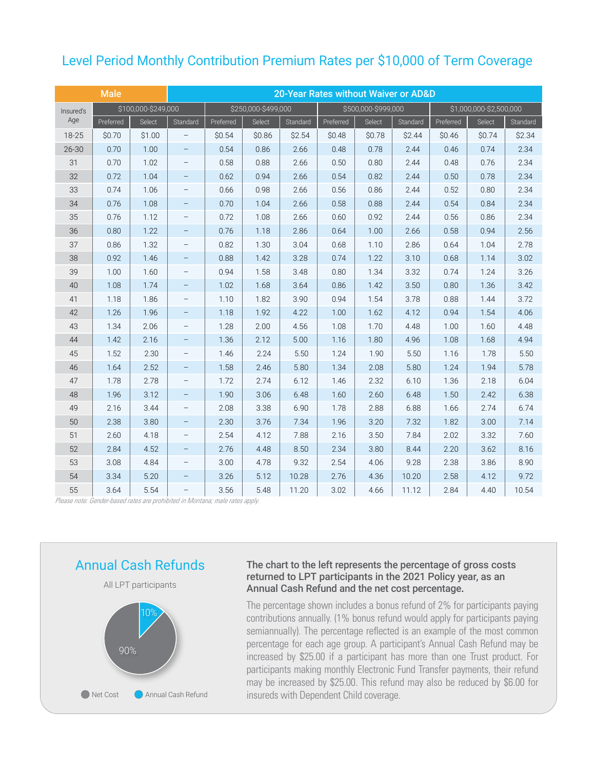## Level Period Monthly Contribution Premium Rates per \$10,000 of Term Coverage

| <b>Male</b> |           |                     |                          |           | 20-Year Rates without Waiver or AD&D |          |                     |        |          |           |                         |          |
|-------------|-----------|---------------------|--------------------------|-----------|--------------------------------------|----------|---------------------|--------|----------|-----------|-------------------------|----------|
| Insured's   |           | \$100,000-\$249,000 |                          |           | \$250,000-\$499,000                  |          | \$500,000-\$999,000 |        |          |           | \$1,000,000-\$2,500,000 |          |
| Age         | Preferred | Select              | Standard                 | Preferred | Select                               | Standard | Preferred           | Select | Standard | Preferred | Select                  | Standard |
| 18-25       | \$0.70    | \$1.00              | -                        | \$0.54    | \$0.86                               | \$2.54   | \$0.48              | \$0.78 | \$2.44   | \$0.46    | \$0.74                  | \$2.34   |
| $26 - 30$   | 0.70      | 1.00                | $\overline{\phantom{a}}$ | 0.54      | 0.86                                 | 2.66     | 0.48                | 0.78   | 2.44     | 0.46      | 0.74                    | 2.34     |
| 31          | 0.70      | 1.02                | $\qquad \qquad -$        | 0.58      | 0.88                                 | 2.66     | 0.50                | 0.80   | 2.44     | 0.48      | 0.76                    | 2.34     |
| 32          | 0.72      | 1.04                | $\overline{\phantom{a}}$ | 0.62      | 0.94                                 | 2.66     | 0.54                | 0.82   | 2.44     | 0.50      | 0.78                    | 2.34     |
| 33          | 0.74      | 1.06                | $\qquad \qquad -$        | 0.66      | 0.98                                 | 2.66     | 0.56                | 0.86   | 2.44     | 0.52      | 0.80                    | 2.34     |
| 34          | 0.76      | 1.08                | $\qquad \qquad -$        | 0.70      | 1.04                                 | 2.66     | 0.58                | 0.88   | 2.44     | 0.54      | 0.84                    | 2.34     |
| 35          | 0.76      | 1.12                | $\qquad \qquad -$        | 0.72      | 1.08                                 | 2.66     | 0.60                | 0.92   | 2.44     | 0.56      | 0.86                    | 2.34     |
| 36          | 0.80      | 1.22                | $\qquad \qquad -$        | 0.76      | 1.18                                 | 2.86     | 0.64                | 1.00   | 2.66     | 0.58      | 0.94                    | 2.56     |
| 37          | 0.86      | 1.32                | $\qquad \qquad -$        | 0.82      | 1.30                                 | 3.04     | 0.68                | 1.10   | 2.86     | 0.64      | 1.04                    | 2.78     |
| 38          | 0.92      | 1.46                | $\qquad \qquad -$        | 0.88      | 1.42                                 | 3.28     | 0.74                | 1.22   | 3.10     | 0.68      | 1.14                    | 3.02     |
| 39          | 1.00      | 1.60                | $\overline{\phantom{a}}$ | 0.94      | 1.58                                 | 3.48     | 0.80                | 1.34   | 3.32     | 0.74      | 1.24                    | 3.26     |
| 40          | 1.08      | 1.74                | $\overline{\phantom{a}}$ | 1.02      | 1.68                                 | 3.64     | 0.86                | 1.42   | 3.50     | 0.80      | 1.36                    | 3.42     |
| 41          | 1.18      | 1.86                | $\qquad \qquad -$        | 1.10      | 1.82                                 | 3.90     | 0.94                | 1.54   | 3.78     | 0.88      | 1.44                    | 3.72     |
| 42          | 1.26      | 1.96                | $\overline{\phantom{a}}$ | 1.18      | 1.92                                 | 4.22     | 1.00                | 1.62   | 4.12     | 0.94      | 1.54                    | 4.06     |
| 43          | 1.34      | 2.06                | $\qquad \qquad -$        | 1.28      | 2.00                                 | 4.56     | 1.08                | 1.70   | 4.48     | 1.00      | 1.60                    | 4.48     |
| 44          | 1.42      | 2.16                | $\qquad \qquad -$        | 1.36      | 2.12                                 | 5.00     | 1.16                | 1.80   | 4.96     | 1.08      | 1.68                    | 4.94     |
| 45          | 1.52      | 2.30                | $\qquad \qquad -$        | 1.46      | 2.24                                 | 5.50     | 1.24                | 1.90   | 5.50     | 1.16      | 1.78                    | 5.50     |
| 46          | 1.64      | 2.52                | $\qquad \qquad -$        | 1.58      | 2.46                                 | 5.80     | 1.34                | 2.08   | 5.80     | 1.24      | 1.94                    | 5.78     |
| 47          | 1.78      | 2.78                | $\qquad \qquad -$        | 1.72      | 2.74                                 | 6.12     | 1.46                | 2.32   | 6.10     | 1.36      | 2.18                    | 6.04     |
| 48          | 1.96      | 3.12                | $\qquad \qquad -$        | 1.90      | 3.06                                 | 6.48     | 1.60                | 2.60   | 6.48     | 1.50      | 2.42                    | 6.38     |
| 49          | 2.16      | 3.44                | $\qquad \qquad -$        | 2.08      | 3.38                                 | 6.90     | 1.78                | 2.88   | 6.88     | 1.66      | 2.74                    | 6.74     |
| 50          | 2.38      | 3.80                | $\qquad \qquad -$        | 2.30      | 3.76                                 | 7.34     | 1.96                | 3.20   | 7.32     | 1.82      | 3.00                    | 7.14     |
| 51          | 2.60      | 4.18                | $\overline{\phantom{a}}$ | 2.54      | 4.12                                 | 7.88     | 2.16                | 3.50   | 7.84     | 2.02      | 3.32                    | 7.60     |
| 52          | 2.84      | 4.52                | $\qquad \qquad -$        | 2.76      | 4.48                                 | 8.50     | 2.34                | 3.80   | 8.44     | 2.20      | 3.62                    | 8.16     |
| 53          | 3.08      | 4.84                | $\overline{\phantom{a}}$ | 3.00      | 4.78                                 | 9.32     | 2.54                | 4.06   | 9.28     | 2.38      | 3.86                    | 8.90     |
| 54          | 3.34      | 5.20                | $\overline{\phantom{a}}$ | 3.26      | 5.12                                 | 10.28    | 2.76                | 4.36   | 10.20    | 2.58      | 4.12                    | 9.72     |
| 55          | 3.64      | 5.54                | $\qquad \qquad -$        | 3.56      | 5.48                                 | 11.20    | 3.02                | 4.66   | 11.12    | 2.84      | 4.40                    | 10.54    |

*Please note: Gender-based rates are prohibited in Montana; male rates apply.*



### The chart to the left represents the percentage of gross costs returned to LPT participants in the 2021 Policy year, as an Annual Cash Refund and the net cost percentage.

The percentage shown includes a bonus refund of 2% for participants paying contributions annually. (1% bonus refund would apply for participants paying semiannually). The percentage reflected is an example of the most common percentage for each age group. A participant's Annual Cash Refund may be increased by \$25.00 if a participant has more than one Trust product. For participants making monthly Electronic Fund Transfer payments, their refund may be increased by \$25.00. This refund may also be reduced by \$6.00 for insureds with Dependent Child coverage.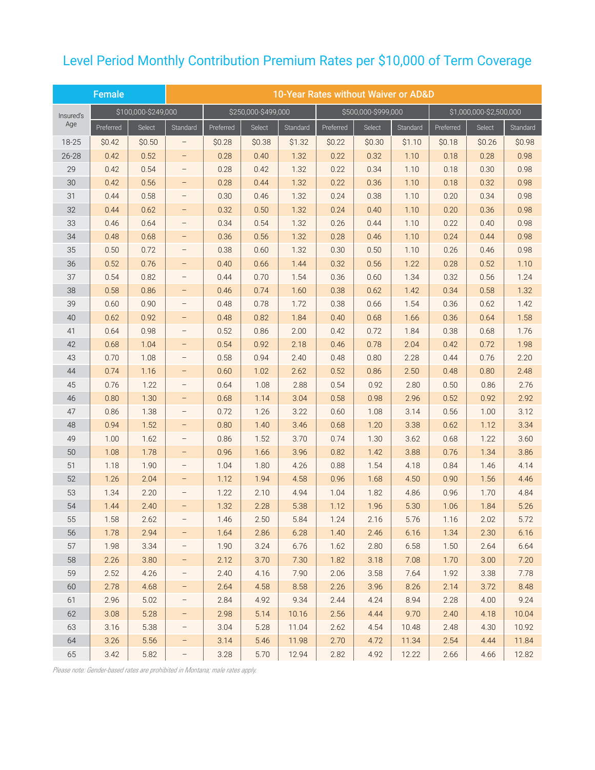# Level Period Monthly Contribution Premium Rates per \$10,000 of Term Coverage

|           | Female    |                     | 10-Year Rates without Waiver or AD&D |           |                     |          |           |                     |          |           |                         |          |
|-----------|-----------|---------------------|--------------------------------------|-----------|---------------------|----------|-----------|---------------------|----------|-----------|-------------------------|----------|
| Insured's |           | \$100,000-\$249,000 |                                      |           | \$250,000-\$499,000 |          |           | \$500,000-\$999,000 |          |           | \$1,000,000-\$2,500,000 |          |
| Age       | Preferred | Select              | Standard                             | Preferred | Select              | Standard | Preferred | Select              | Standard | Preferred | Select                  | Standard |
| 18-25     | \$0.42    | \$0.50              | -                                    | \$0.28    | \$0.38              | \$1.32   | \$0.22    | \$0.30              | \$1.10   | \$0.18    | \$0.26                  | \$0.98   |
| $26 - 28$ | 0.42      | 0.52                | -                                    | 0.28      | 0.40                | 1.32     | 0.22      | 0.32                | 1.10     | 0.18      | 0.28                    | 0.98     |
| 29        | 0.42      | 0.54                | -                                    | 0.28      | 0.42                | 1.32     | 0.22      | 0.34                | 1.10     | 0.18      | 0.30                    | 0.98     |
| 30        | 0.42      | 0.56                | -                                    | 0.28      | 0.44                | 1.32     | 0.22      | 0.36                | 1.10     | 0.18      | 0.32                    | 0.98     |
| 31        | 0.44      | 0.58                |                                      | 0.30      | 0.46                | 1.32     | 0.24      | 0.38                | 1.10     | 0.20      | 0.34                    | 0.98     |
| 32        | 0.44      | 0.62                | -                                    | 0.32      | 0.50                | 1.32     | 0.24      | 0.40                | 1.10     | 0.20      | 0.36                    | 0.98     |
| 33        | 0.46      | 0.64                | $\overline{\phantom{0}}$             | 0.34      | 0.54                | 1.32     | 0.26      | 0.44                | 1.10     | 0.22      | 0.40                    | 0.98     |
| 34        | 0.48      | 0.68                | -                                    | 0.36      | 0.56                | 1.32     | 0.28      | 0.46                | 1.10     | 0.24      | 0.44                    | 0.98     |
| 35        | 0.50      | 0.72                |                                      | 0.38      | 0.60                | 1.32     | 0.30      | 0.50                | 1.10     | 0.26      | 0.46                    | 0.98     |
| 36        | 0.52      | 0.76                |                                      | 0.40      | 0.66                | 1.44     | 0.32      | 0.56                | 1.22     | 0.28      | 0.52                    | 1.10     |
| 37        | 0.54      | 0.82                | -                                    | 0.44      | 0.70                | 1.54     | 0.36      | 0.60                | 1.34     | 0.32      | 0.56                    | 1.24     |
| 38        | 0.58      | 0.86                | -                                    | 0.46      | 0.74                | 1.60     | 0.38      | 0.62                | 1.42     | 0.34      | 0.58                    | 1.32     |
| 39        | 0.60      | 0.90                | -                                    | 0.48      | 0.78                | 1.72     | 0.38      | 0.66                | 1.54     | 0.36      | 0.62                    | 1.42     |
| 40        | 0.62      | 0.92                | -                                    | 0.48      | 0.82                | 1.84     | 0.40      | 0.68                | 1.66     | 0.36      | 0.64                    | 1.58     |
| 41        | 0.64      | 0.98                | $\qquad \qquad -$                    | 0.52      | 0.86                | 2.00     | 0.42      | 0.72                | 1.84     | 0.38      | 0.68                    | 1.76     |
| 42        | 0.68      | 1.04                | -                                    | 0.54      | 0.92                | 2.18     | 0.46      | 0.78                | 2.04     | 0.42      | 0.72                    | 1.98     |
| 43        | 0.70      | 1.08                | $\qquad \qquad -$                    | 0.58      | 0.94                | 2.40     | 0.48      | 0.80                | 2.28     | 0.44      | 0.76                    | 2.20     |
| 44        | 0.74      | 1.16                | -                                    | 0.60      | 1.02                | 2.62     | 0.52      | 0.86                | 2.50     | 0.48      | 0.80                    | 2.48     |
| 45        | 0.76      | 1.22                | $\qquad \qquad -$                    | 0.64      | 1.08                | 2.88     | 0.54      | 0.92                | 2.80     | 0.50      | 0.86                    | 2.76     |
| 46        | 0.80      | 1.30                | -                                    | 0.68      | 1.14                | 3.04     | 0.58      | 0.98                | 2.96     | 0.52      | 0.92                    | 2.92     |
| 47        | 0.86      | 1.38                | $\qquad \qquad -$                    | 0.72      | 1.26                | 3.22     | 0.60      | 1.08                | 3.14     | 0.56      | 1.00                    | 3.12     |
| 48        | 0.94      | 1.52                | -                                    | 0.80      | 1.40                | 3.46     | 0.68      | 1.20                | 3.38     | 0.62      | 1.12                    | 3.34     |
| 49        | 1.00      | 1.62                |                                      | 0.86      | 1.52                | 3.70     | 0.74      | 1.30                | 3.62     | 0.68      | 1.22                    | 3.60     |
| 50        | 1.08      | 1.78                | -                                    | 0.96      | 1.66                | 3.96     | 0.82      | 1.42                | 3.88     | 0.76      | 1.34                    | 3.86     |
| 51        | 1.18      | 1.90                | $\qquad \qquad -$                    | 1.04      | 1.80                | 4.26     | 0.88      | 1.54                | 4.18     | 0.84      | 1.46                    | 4.14     |
| 52        | 1.26      | 2.04                | -                                    | 1.12      | 1.94                | 4.58     | 0.96      | 1.68                | 4.50     | 0.90      | 1.56                    | 4.46     |
| 53        | 1.34      | 2.20                | $\qquad \qquad -$                    | 1.22      | 2.10                | 4.94     | 1.04      | 1.82                | 4.86     | 0.96      | 1.70                    | 4.84     |
| 54        | 1.44      | 2.40                | $\qquad \qquad -$                    | 1.32      | 2.28                | 5.38     | 1.12      | 1.96                | 5.30     | 1.06      | 1.84                    | 5.26     |
| 55        | 1.58      | 2.62                |                                      | 1.46      | 2.50                | 5.84     | 1.24      | 2.16                | 5.76     | 1.16      | 2.02                    | 5.72     |
| 56        | 1.78      | 2.94                | -                                    | 1.64      | 2.86                | 6.28     | 1.40      | 2.46                | 6.16     | 1.34      | 2.30                    | 6.16     |
| 57        | 1.98      | 3.34                | -                                    | 1.90      | 3.24                | 6.76     | 1.62      | 2.80                | 6.58     | 1.50      | 2.64                    | 6.64     |
| 58        | 2.26      | 3.80                | -                                    | 2.12      | 3.70                | 7.30     | 1.82      | 3.18                | 7.08     | 1.70      | 3.00                    | 7.20     |
| 59        | 2.52      | 4.26                | -                                    | 2.40      | 4.16                | 7.90     | 2.06      | 3.58                | 7.64     | 1.92      | 3.38                    | 7.78     |
| 60        | 2.78      | 4.68                | -                                    | 2.64      | 4.58                | 8.58     | 2.26      | 3.96                | 8.26     | 2.14      | 3.72                    | 8.48     |
| 61        | 2.96      | 5.02                |                                      | 2.84      | 4.92                | 9.34     | 2.44      | 4.24                | 8.94     | 2.28      | 4.00                    | 9.24     |
| 62        | 3.08      | 5.28                | -                                    | 2.98      | 5.14                | 10.16    | 2.56      | 4.44                | 9.70     | 2.40      | 4.18                    | 10.04    |
| 63        | 3.16      | 5.38                | -                                    | 3.04      | 5.28                | 11.04    | 2.62      | 4.54                | 10.48    | 2.48      | 4.30                    | 10.92    |
| 64        | 3.26      | 5.56                | -                                    | 3.14      | 5.46                | 11.98    | 2.70      | 4.72                | 11.34    | 2.54      | 4.44                    | 11.84    |
| 65        | 3.42      | 5.82                | -                                    | 3.28      | 5.70                | 12.94    | 2.82      | 4.92                | 12.22    | 2.66      | 4.66                    | 12.82    |

*Please note: Gender-based rates are prohibited in Montana; male rates apply.*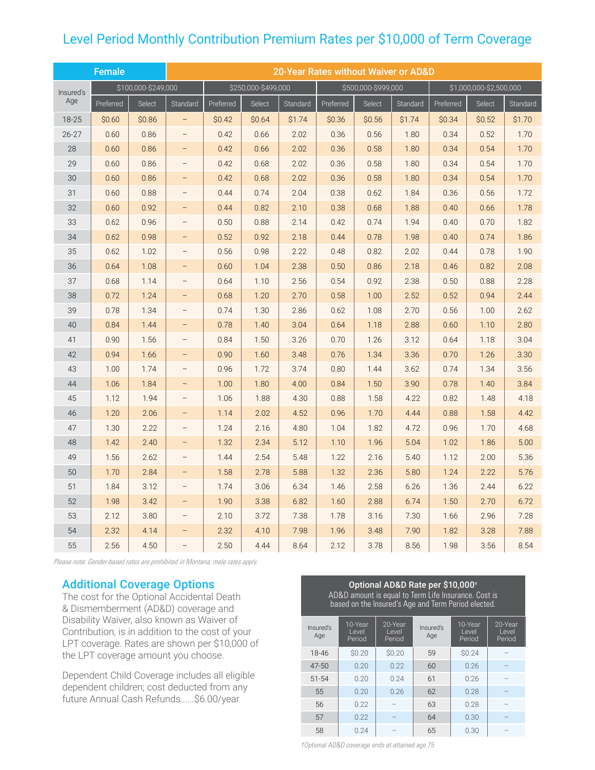# Level Period Monthly Contribution Premium Rates per \$10,000 of Term Coverage

|           | Female    |                     |                          | 20-Year Rates without Waiver or AD&D |                     |          |           |                     |          |           |                         |          |
|-----------|-----------|---------------------|--------------------------|--------------------------------------|---------------------|----------|-----------|---------------------|----------|-----------|-------------------------|----------|
| Insured's |           | \$100,000-\$249,000 |                          |                                      | \$250,000-\$499,000 |          |           | \$500,000-\$999,000 |          |           | \$1,000,000-\$2,500,000 |          |
| Age       | Preferred | Select              | Standard                 | Preferred                            | Select              | Standard | Preferred | Select              | Standard | Preferred | Select                  | Standard |
| 18-25     | \$0.60    | \$0.86              | $\overline{\phantom{0}}$ | \$0.42                               | \$0.64              | \$1.74   | \$0.36    | \$0.56              | \$1.74   | \$0.34    | \$0.52                  | \$1.70   |
| $26 - 27$ | 0.60      | 0.86                |                          | 0.42                                 | 0.66                | 2.02     | 0.36      | 0.56                | 1.80     | 0.34      | 0.52                    | 1.70     |
| 28        | 0.60      | 0.86                |                          | 0.42                                 | 0.66                | 2.02     | 0.36      | 0.58                | 1.80     | 0.34      | 0.54                    | 1.70     |
| 29        | 0.60      | 0.86                |                          | 0.42                                 | 0.68                | 2.02     | 0.36      | 0.58                | 1.80     | 0.34      | 0.54                    | 1.70     |
| 30        | 0.60      | 0.86                | $\overline{\phantom{0}}$ | 0.42                                 | 0.68                | 2.02     | 0.36      | 0.58                | 1.80     | 0.34      | 0.54                    | 1.70     |
| 31        | 0.60      | 0.88                |                          | 0.44                                 | 0.74                | 2.04     | 0.38      | 0.62                | 1.84     | 0.36      | 0.56                    | 1.72     |
| 32        | 0.60      | 0.92                | $\overline{\phantom{0}}$ | 0.44                                 | 0.82                | 2.10     | 0.38      | 0.68                | 1.88     | 0.40      | 0.66                    | 1.78     |
| 33        | 0.62      | 0.96                | $\qquad \qquad -$        | 0.50                                 | 0.88                | 2.14     | 0.42      | 0.74                | 1.94     | 0.40      | 0.70                    | 1.82     |
| 34        | 0.62      | 0.98                | $\overline{\phantom{0}}$ | 0.52                                 | 0.92                | 2.18     | 0.44      | 0.78                | 1.98     | 0.40      | 0.74                    | 1.86     |
| 35        | 0.62      | 1.02                | $\qquad \qquad -$        | 0.56                                 | 0.98                | 2.22     | 0.48      | 0.82                | 2.02     | 0.44      | 0.78                    | 1.90     |
| 36        | 0.64      | 1.08                | $\overline{\phantom{0}}$ | 0.60                                 | 1.04                | 2.38     | 0.50      | 0.86                | 2.18     | 0.46      | 0.82                    | 2.08     |
| 37        | 0.68      | 1.14                | $\qquad \qquad -$        | 0.64                                 | 1.10                | 2.56     | 0.54      | 0.92                | 2.38     | 0.50      | 0.88                    | 2.28     |
| 38        | 0.72      | 1.24                | $-$                      | 0.68                                 | 1.20                | 2.70     | 0.58      | 1.00                | 2.52     | 0.52      | 0.94                    | 2.44     |
| 39        | 0.78      | 1.34                | $\qquad \qquad -$        | 0.74                                 | 1.30                | 2.86     | 0.62      | 1.08                | 2.70     | 0.56      | 1.00                    | 2.62     |
| 40        | 0.84      | 1.44                | $\qquad \qquad -$        | 0.78                                 | 1.40                | 3.04     | 0.64      | 1.18                | 2.88     | 0.60      | 1.10                    | 2.80     |
| 41        | 0.90      | 1.56                | $\qquad \qquad -$        | 0.84                                 | 1.50                | 3.26     | 0.70      | 1.26                | 3.12     | 0.64      | 1.18                    | 3.04     |
| 42        | 0.94      | 1.66                | $\qquad \qquad -$        | 0.90                                 | 1.60                | 3.48     | 0.76      | 1.34                | 3.36     | 0.70      | 1.26                    | 3.30     |
| 43        | 1.00      | 1.74                |                          | 0.96                                 | 1.72                | 3.74     | 0.80      | 1.44                | 3.62     | 0.74      | 1.34                    | 3.56     |
| 44        | 1.06      | 1.84                | -                        | 1.00                                 | 1.80                | 4.00     | 0.84      | 1.50                | 3.90     | 0.78      | 1.40                    | 3.84     |
| 45        | 1.12      | 1.94                | $\qquad \qquad -$        | 1.06                                 | 1.88                | 4.30     | 0.88      | 1.58                | 4.22     | 0.82      | 1.48                    | 4.18     |
| 46        | 1.20      | 2.06                |                          | 1.14                                 | 2.02                | 4.52     | 0.96      | 1.70                | 4.44     | 0.88      | 1.58                    | 4.42     |
| 47        | 1.30      | 2.22                | $\qquad \qquad -$        | 1.24                                 | 2.16                | 4.80     | 1.04      | 1.82                | 4.72     | 0.96      | 1.70                    | 4.68     |
| 48        | 1.42      | 2.40                | -                        | 1.32                                 | 2.34                | 5.12     | 1.10      | 1.96                | 5.04     | 1.02      | 1.86                    | 5.00     |
| 49        | 1.56      | 2.62                | -                        | 1.44                                 | 2.54                | 5.48     | 1.22      | 2.16                | 5.40     | 1.12      | 2.00                    | 5.36     |
| 50        | 1.70      | 2.84                | -                        | 1.58                                 | 2.78                | 5.88     | 1.32      | 2.36                | 5.80     | 1.24      | 2.22                    | 5.76     |
| 51        | 1.84      | 3.12                |                          | 1.74                                 | 3.06                | 6.34     | 1.46      | 2.58                | 6.26     | 1.36      | 2.44                    | 6.22     |
| 52        | 1.98      | 3.42                |                          | 1.90                                 | 3.38                | 6.82     | 1.60      | 2.88                | 6.74     | 1.50      | 2.70                    | 6.72     |
| 53        | 2.12      | 3.80                | $\qquad \qquad -$        | 2.10                                 | 3.72                | 7.38     | 1.78      | 3.16                | 7.30     | 1.66      | 2.96                    | 7.28     |
| 54        | 2.32      | 4.14                |                          | 2.32                                 | 4.10                | 7.98     | 1.96      | 3.48                | 7.90     | 1.82      | 3.28                    | 7.88     |
| 55        | 2.56      | 4.50                | $\qquad \qquad -$        | 2.50                                 | 4.44                | 8.64     | 2.12      | 3.78                | 8.56     | 1.98      | 3.56                    | 8.54     |

*Please note: Gender-based rates are prohibited in Montana; male rates apply.*

### Additional Coverage Options

The cost for the Optional Accidental Death & Dismemberment (AD&D) coverage and Disability Waiver, also known as Waiver of Contribution, is in addition to the cost of your LPT coverage. Rates are shown per \$10,000 of the LPT coverage amount you choose.

Dependent Child Coverage includes all eligible dependent children; cost deducted from any future Annual Cash Refunds......\$6.00/year

#### Optional AD&D Rate per \$10,000† AD&D amount is equal to Term Life Insurance. Cost is based on the Insured's Age and Term Period elected. 10-Year 20-Year Insured's 10-Year

| Insured's<br>Age | 10-Year<br>Level<br>Period | 20-Year<br>Level<br>Period | Insured's<br>Age | 10-Year<br>Level<br>Period | 20-Year<br>Level<br>Period |
|------------------|----------------------------|----------------------------|------------------|----------------------------|----------------------------|
| 18-46            | \$0.20                     | \$0.20                     | 59               | \$0.24                     |                            |
| $47 - 50$        | 0.20                       | 0.22                       | 60               | 0.26                       |                            |
| $51 - 54$        | 0.20                       | 0.24                       | 61               | 0.26                       |                            |
| 55               | 0.20                       | 0.26                       | 62               | 0.28                       |                            |
| 56               | 0.22                       |                            | 63               | 0.28                       |                            |
| 57               | 0.22                       |                            | 64               | 0.30                       |                            |
| 58               | 0.24                       |                            | 65               | 0.30                       |                            |

†Optional AD&D coverage ends at attained age 75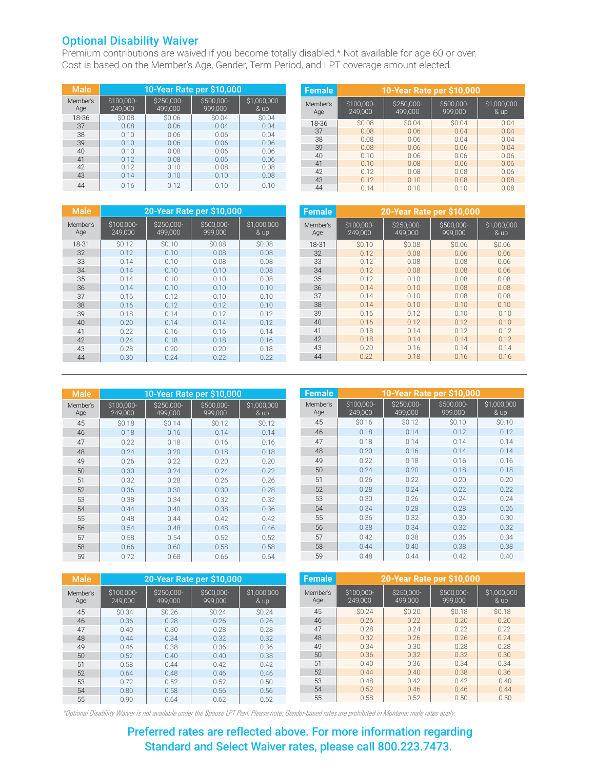### Optional Disability Waiver

Premium contributions are waived if you become totally disabled.\* Not available for age 60 or over. Cost is based on the Member's Age, Gender, Term Period, and LPT coverage amount elected.

| <b>Male</b>     | 10-Year Rate per \$10,000 |                       |                       |                     |  |  |  |  |  |
|-----------------|---------------------------|-----------------------|-----------------------|---------------------|--|--|--|--|--|
| Member's<br>Age | \$100,000-<br>249,000     | \$250,000-<br>499.000 | \$500,000-<br>999.000 | \$1,000,000<br>& up |  |  |  |  |  |
| 18-36           | \$0.08                    | \$0.06                | \$0.04                | \$0.04              |  |  |  |  |  |
| 37              | 0.08                      | 0.06                  | 0.04                  | 0.04                |  |  |  |  |  |
| 38              | 0.10                      | 0.06                  | 0.06                  | 0.04                |  |  |  |  |  |
| 39              | 0.10                      | 0.06                  | 0.06                  | 0.06                |  |  |  |  |  |
| 40              | 0.10                      | 0.08                  | 0.06                  | 0.06                |  |  |  |  |  |
| 41              | 0.12                      | 0.08                  | 0.06                  | 0.06                |  |  |  |  |  |
| 42              | 0.12                      | 0.10                  | 0.08                  | 0.08                |  |  |  |  |  |
| 43              | 0.14                      | 0.10                  | 0.10                  | 0.08                |  |  |  |  |  |
| 44              | 0.16                      | 0.12                  | 0.10                  | 0.10                |  |  |  |  |  |

| <b>Female</b>   | 10-Year Rate per \$10,000 |                       |                       |                       |  |  |  |  |  |
|-----------------|---------------------------|-----------------------|-----------------------|-----------------------|--|--|--|--|--|
| Member's<br>Age | \$100,000-<br>249,000     | \$250,000-<br>499.000 | \$500,000-<br>999.000 | \$1,000,000<br>$&$ up |  |  |  |  |  |
| 18-36           | \$0.08                    | <b>SO.04</b>          | \$0.04                | 0.04                  |  |  |  |  |  |
| 37              | 0.08                      | 0.06                  | 0.04                  | 0.04                  |  |  |  |  |  |
| 38              | 0.08                      | 0.06                  | 0.04                  | 0.04                  |  |  |  |  |  |
| 39              | 0.08                      | 0.06                  | 0.06                  | 0.04                  |  |  |  |  |  |
| 40              | 0.10                      | 0.06                  | 0.06                  | 0.06                  |  |  |  |  |  |
| 41              | 0.10                      | 0.08                  | 0.06                  | 0.06                  |  |  |  |  |  |
| 42              | 0.12                      | 0.08                  | 0.08                  | 0.06                  |  |  |  |  |  |
| 43              | 0.12                      | 0.10                  | 0.08                  | 0.08                  |  |  |  |  |  |
| 44              | 0.14                      | 0.10                  | 0.10                  | 0.08                  |  |  |  |  |  |

| <b>Male</b>     | 20-Year Rate per \$10,000 |                       |                       |                       |  |  |  |
|-----------------|---------------------------|-----------------------|-----------------------|-----------------------|--|--|--|
| Member's<br>Age | \$100.000-<br>249,000     | \$250,000-<br>499,000 | \$500.000-<br>999,000 | \$1,000,000<br>$&$ up |  |  |  |
| 18-31           | <b>SO.12</b>              | \$0.10                | \$0.08                | \$0.08                |  |  |  |
| 32              | 0.12                      | 0.10                  | 0.08                  | 0.08                  |  |  |  |
| 33              | 0.14                      | 0.10                  | 0.08                  | 0.08                  |  |  |  |
| 34              | 0.14                      | 0.10                  | 0.10                  | 0.08                  |  |  |  |
| 35              | 0.14                      | 0.10                  | 0.10                  | 0.08                  |  |  |  |
| 36              | 0.14                      | 0.10                  | 0.10                  | 0.10                  |  |  |  |
| 37              | 0.16                      | 0.12                  | 0.10                  | 0.10                  |  |  |  |
| 38              | 0.16                      | 0.12                  | 0.12                  | 0.10                  |  |  |  |
| 39              | 0.18                      | 0.14                  | 0.12                  | 0.12                  |  |  |  |
| 40              | 0.20                      | 0.14                  | 0.14                  | 0.12                  |  |  |  |
| 41              | 0.22                      | 0.16                  | 0.16                  | 0.14                  |  |  |  |
| 42              | 0.24                      | 0.18                  | 0.18                  | 0.16                  |  |  |  |
| 43              | 0.28                      | 0.20                  | 0.20                  | 0.18                  |  |  |  |
| 44              | 0.30                      | 0.24                  | 0.22                  | 0.22                  |  |  |  |

| <b>Female</b>   | 20-Year Rate per \$10,000 |                       |                       |                     |  |  |  |  |
|-----------------|---------------------------|-----------------------|-----------------------|---------------------|--|--|--|--|
| Member's<br>Age | \$100,000-<br>249,000     | \$250,000-<br>499,000 | \$500,000-<br>999,000 | \$1,000,000<br>& up |  |  |  |  |
| 18-31           | \$0.10                    | \$0.08                | \$0.06                | \$0.06              |  |  |  |  |
| 32              | 0.12                      | 0.08                  | 0.06                  | 0.06                |  |  |  |  |
| 33              | 0.12                      | 0.08                  | 0.08                  | 0.06                |  |  |  |  |
| 34              | 0.12                      | 0.08                  | 0.08                  | 0.06                |  |  |  |  |
| 35              | 0.12                      | 0.10                  | 0.08                  | 0.08                |  |  |  |  |
| 36              | 0.14                      | 0.10                  | 0.08                  | 0.08                |  |  |  |  |
| 37              | 0.14                      | 0.10                  | 0.08                  | 0.08                |  |  |  |  |
| 38              | 0.14                      | 0.10                  | 0.10                  | 0.10                |  |  |  |  |
| 39              | 0.16                      | 0.12                  | 0.10                  | 0.10                |  |  |  |  |
| 40              | 0.16                      | 0.12                  | 0.12                  | 0.10                |  |  |  |  |
| 41              | 0.18                      | 0.14                  | 0.12                  | 0.12                |  |  |  |  |
| 42              | 0.18                      | 0.14                  | 0.14                  | 0.12                |  |  |  |  |
| 43              | 0.20                      | 0.16                  | 0.14                  | 0.14                |  |  |  |  |
| 44              | 0.22                      | 0.18                  | 0.16                  | 0.16                |  |  |  |  |

| <b>Male</b>     |                       |                       | 10-Year Rate per \$10,000 |                     |
|-----------------|-----------------------|-----------------------|---------------------------|---------------------|
| Member's<br>Age | \$100,000-<br>249,000 | \$250.000-<br>499,000 | \$500.000-<br>999,000     | \$1,000,000<br>& up |
| 45              | <b>SO.18</b>          | \$0.14                | \$0.12                    | <b>SO.12</b>        |
| 46              | 0.18                  | 0.16                  | 0.14                      | 0.14                |
| 47              | 0.22                  | 0.18                  | 0.16                      | 0.16                |
| 48              | 0.24                  | 0.20                  | 0.18                      | 0.18                |
| 49              | 0.26                  | 0.22                  | 0.20                      | 0.20                |
| 50              | 0.30                  | 0.24                  | 0.24                      | 0.22                |
| 51              | 0.32                  | 0.28                  | 0.26                      | 0.26                |
| 52              | 0.36                  | 0.30                  | 0.30                      | 0.28                |
| 53              | 0.38                  | 0.34                  | 0.32                      | 0.32                |
| 54              | 0.44                  | 0.40                  | 0.38                      | 0.36                |
| 55              | 0.48                  | 0.44                  | 0.42                      | 0.42                |
| 56              | 0.54                  | 0.48                  | 0.48                      | 0.46                |
| 57              | 0.58                  | 0.54                  | 0.52                      | 0.52                |
| 58              | 0.66                  | 0.60                  | 0.58                      | 0.58                |
| 59              | 0.72                  | 0.68                  | 0.66                      | 0.64                |

| <b>Female</b>   |                       |                       | 10-Year Rate per \$10,000 |                     |
|-----------------|-----------------------|-----------------------|---------------------------|---------------------|
| Member's<br>Age | \$100,000-<br>249,000 | \$250,000-<br>499,000 | \$500,000-<br>999,000     | \$1,000,000<br>& up |
| 45              | \$0.16                | \$0.12                | \$0.10                    | \$0.10              |
| 46              | 0.18                  | 0.14                  | 0.12                      | 0.12                |
| 47              | 0.18                  | 0.14                  | 0.14                      | 0.14                |
| 48              | 0.20                  | 0.16                  | 0.14                      | 0.14                |
| 49              | 0.22                  | 0.18                  | 0.16                      | 0.16                |
| 50              | 0.24                  | 0.20                  | 0.18                      | 0.18                |
| 51              | 0.26                  | 0.22                  | 0.20                      | 0.20                |
| 52              | 0.28                  | 0.24                  | 0.22                      | 0.22                |
| 53              | 0.30                  | 0.26                  | 0.24                      | 0.24                |
| 54              | 0.34                  | 0.28                  | 0.28                      | 0.26                |
| 55              | 0.36                  | 0.32                  | 0.30                      | 0.30                |
| 56              | 0.38                  | 0.34                  | 0.32                      | 0.32                |
| 57              | 0.42                  | 0.38                  | 0.36                      | 0.34                |
| 58              | 0.44                  | 0.40                  | 0.38                      | 0.38                |
| 59              | 0.48                  | 0.44                  | 0.42                      | 0.40                |

| <b>Male</b>     |                       |                       | 20-Year Rate per \$10,000 |                     |
|-----------------|-----------------------|-----------------------|---------------------------|---------------------|
| Member's<br>Age | \$100.000-<br>249,000 | \$250,000-<br>499.000 | \$500.000-<br>999.000     | \$1,000,000<br>& up |
| 45              | \$0.34                | \$0.26                | \$0.24                    | \$0.24              |
| 46              | 0.36                  | 0.28                  | 0.26                      | 0.26                |
| 47              | 0.40                  | 0.30                  | 0.28                      | 0.28                |
| 48              | 0.44                  | 0.34                  | 0.32                      | 0.32                |
| 49              | 0.46                  | 0.38                  | 0.36                      | 0.36                |
| 50              | 0.52                  | 0.40                  | 0.40                      | 0.38                |
| 51              | 0.58                  | 0.44                  | 0.42                      | 0.42                |
| 52              | 0.64                  | 0.48                  | 0.46                      | 0.46                |
| 53              | 0.72                  | 0.52                  | 0.52                      | 0.50                |
| 54              | 0.80                  | 0.58                  | 0.56                      | 0.56                |
| 55              | 0.90                  | 0.64                  | 0.62                      | 0.62                |

| Female          | 20-Year Rate per \$10,000 |                       |                       |                       |
|-----------------|---------------------------|-----------------------|-----------------------|-----------------------|
| Member's<br>Age | \$100.000-<br>249.000     | \$250.000-<br>499,000 | \$500.000-<br>999,000 | \$1,000,000<br>$&$ up |
| 45              | \$0.24                    | \$0.20                | <b>SO.18</b>          | <b>SO.18</b>          |
| 46              | 0.26                      | 0.22                  | 0.20                  | 0.20                  |
| 47              | 0.28                      | 0.24                  | 0.22                  | 0.22                  |
| 48              | 0.32                      | 0.26                  | 0.26                  | 0.24                  |
| 49              | 0.34                      | 0.30                  | 0.28                  | 0.28                  |
| 50              | 0.36                      | 0.32                  | 0.32                  | 0.30                  |
| 51              | 0.40                      | 0.36                  | 0.34                  | 0.34                  |
| 52              | 0.44                      | 0.40                  | 0.38                  | 0.36                  |
| 53              | 0.48                      | 0.42                  | 0.42                  | 0.40                  |
| 54              | 0.52                      | 0.46                  | 0.46                  | 0.44                  |
| 55              | 0.58                      | 0.52                  | 0.50                  | 0.50                  |

*\*Optional Disability Waiver is not available under the Spouse LPT Plan. Please note: Gender-based rates are prohibited in Montana; male rates apply.*

 Preferred rates are reflected above. For more information regarding Standard and Select Waiver rates, please call 800.223.7473.